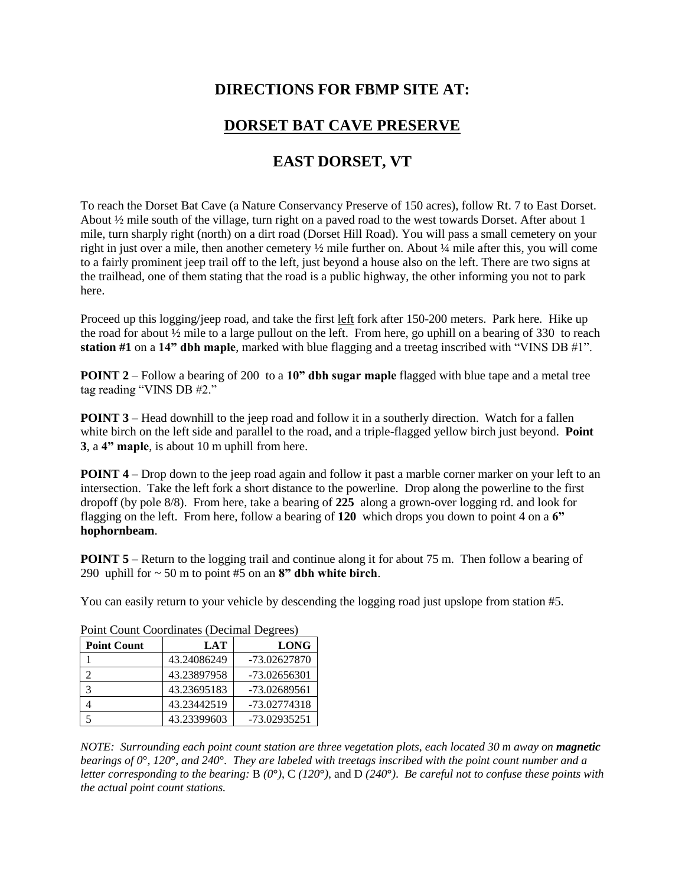## **DIRECTIONS FOR FBMP SITE AT:**

## **DORSET BAT CAVE PRESERVE**

## **EAST DORSET, VT**

To reach the Dorset Bat Cave (a Nature Conservancy Preserve of 150 acres), follow Rt. 7 to East Dorset. About ½ mile south of the village, turn right on a paved road to the west towards Dorset. After about 1 mile, turn sharply right (north) on a dirt road (Dorset Hill Road). You will pass a small cemetery on your right in just over a mile, then another cemetery ½ mile further on. About ¼ mile after this, you will come to a fairly prominent jeep trail off to the left, just beyond a house also on the left. There are two signs at the trailhead, one of them stating that the road is a public highway, the other informing you not to park here.

Proceed up this logging/jeep road, and take the first left fork after 150-200 meters. Park here. Hike up the road for about ½ mile to a large pullout on the left. From here, go uphill on a bearing of 330 to reach **station #1** on a **14" dbh maple**, marked with blue flagging and a treetag inscribed with "VINS DB #1".

**POINT 2** – Follow a bearing of 200 to a 10" dbh sugar maple flagged with blue tape and a metal tree tag reading "VINS DB #2."

**POINT 3** – Head downhill to the jeep road and follow it in a southerly direction. Watch for a fallen white birch on the left side and parallel to the road, and a triple-flagged yellow birch just beyond. **Point 3**, a **4" maple**, is about 10 m uphill from here.

**POINT 4** – Drop down to the jeep road again and follow it past a marble corner marker on your left to an intersection. Take the left fork a short distance to the powerline. Drop along the powerline to the first dropoff (by pole 8/8). From here, take a bearing of **225** along a grown-over logging rd. and look for flagging on the left. From here, follow a bearing of **120** which drops you down to point 4 on a **6" hophornbeam**.

**POINT 5** – Return to the logging trail and continue along it for about 75 m. Then follow a bearing of 290 uphill for ~ 50 m to point #5 on an **8" dbh white birch**.

You can easily return to your vehicle by descending the logging road just upslope from station #5.

| <b>Point Count</b> | <b>LAT</b>  | <b>LONG</b>  |
|--------------------|-------------|--------------|
|                    | 43.24086249 | -73.02627870 |
|                    | 43.23897958 | -73.02656301 |
| 3                  | 43.23695183 | -73.02689561 |
|                    | 43.23442519 | -73.02774318 |
|                    | 43.23399603 | -73.02935251 |

Point Count Coordinates (Decimal Degrees)

*NOTE: Surrounding each point count station are three vegetation plots, each located 30 m away on magnetic bearings of 0***°***, 120***°***, and 240***°***. They are labeled with treetags inscribed with the point count number and a letter corresponding to the bearing:* B *(0***°***)*, C *(120***°***)*, and D *(240***°***)*. *Be careful not to confuse these points with the actual point count stations.*